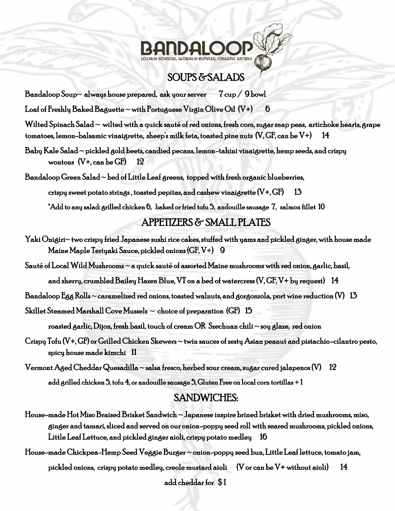# **GLOBALIN INSPIRED, ORGANIC EATERY**

## SOUPS & SALADS

Bandaloop Soup~ always house prepared, ask your server  $7 \text{ cup} / 9 \text{ bowl}$ 

Loaf of Freshly Baked Baguette ~ with Portuguese Virgin Olive Oil  $(V+)$  6

Wilted Spinach Salad  $\sim$  wilted with a quick sauté of red onions, fresh corn, sugar snap peas, artichoke hearts, grape tomatoes, lemon-balsamic vinaigrette, sheep's milk feta, toasted pine nuts (V, GF, can be V+) 14

Baby Kale Salad ~ pickled gold beets, candied pecans, lemon-tahini vinaigrette, hemp seeds, and crispy wontons  $(V+$ , can be GF $)$  12

Bandaloop Green Salad  $\sim$  bed of Little Leaf greens, topped with fresh organic blueberries, crispy sweet potato strings, toasted pepitas, and cashew vinaigrette  $(V+, GF)$  13

\*Add to any salad: grilled chicken 6, baked or fried tofu 5, andouille sausage 7, salmon fillet 10

### APPETIZERS & SMALL PLATES

Yaki Onigiri~ two crispy fried Japanese sushi rice cakes, stuffed with yams and pickled ginger, with house made Maine Maple Teriyaki Sauce, pickled onions (GF, V+) 9

Sauté of Local Wild Mushrooms ~ a quick sauté of assorted Maine mushrooms with red onion, garlic, basil,

and sherry, crumbled Bailey Hazen Blue, VT on a bed of watercress (V, GF, V+ by request) 14

Bandaloop Egg Rolls  $\sim$  caramelized red onions, toasted walnuts, and gorgonzola, port wine reduction (V)  $\,$  13  $\,$ 

Skillet Steamed Marshall Cove Mussels  $\sim$  choice of preparation (GF)  $~15$ 

roasted garlic, Dijon, fresh basil, touch of cream OR Szechuan chili  $\sim$  soy glaze, red onion

Crispy Tofu (V+, GF) or Grilled Chicken Skewers ~ twin sauces of zesty Asian peanut and pistachio-cilantro pesto, spicy house made kimchi 11

 $\rm Vermont$  Aged Cheddar Quesadilla  $\sim$  salsa fresco, herbed sour cream, sugar cured jalapenos (V)  $\rm ~12$ add grilled chicken 5, tofu 4, or andouille sausage 5, Gluten Free on local corn tortillas + 1

## SANDWICHES:

- House-made Hot Miso Braised Brisket Sandwich  $\sim$  Japanese inspire brined brisket with dried mushrooms, miso, ginger and tamari, sliced and served on our onion-poppy seed roll with seared mushrooms, pickled onions, Little Leaf Lettuce, and pickled ginger aioli, crispy potato medley 16
- House-made Chickpea-Hemp Seed Veggie Burger ~ onion-poppy seed bun, Little Leaf lettuce, tomato jam, pickled onions, crispy potato medley, creole mustard aioli (V or can be V+ without aioli) 14 add cheddar for \$ 1